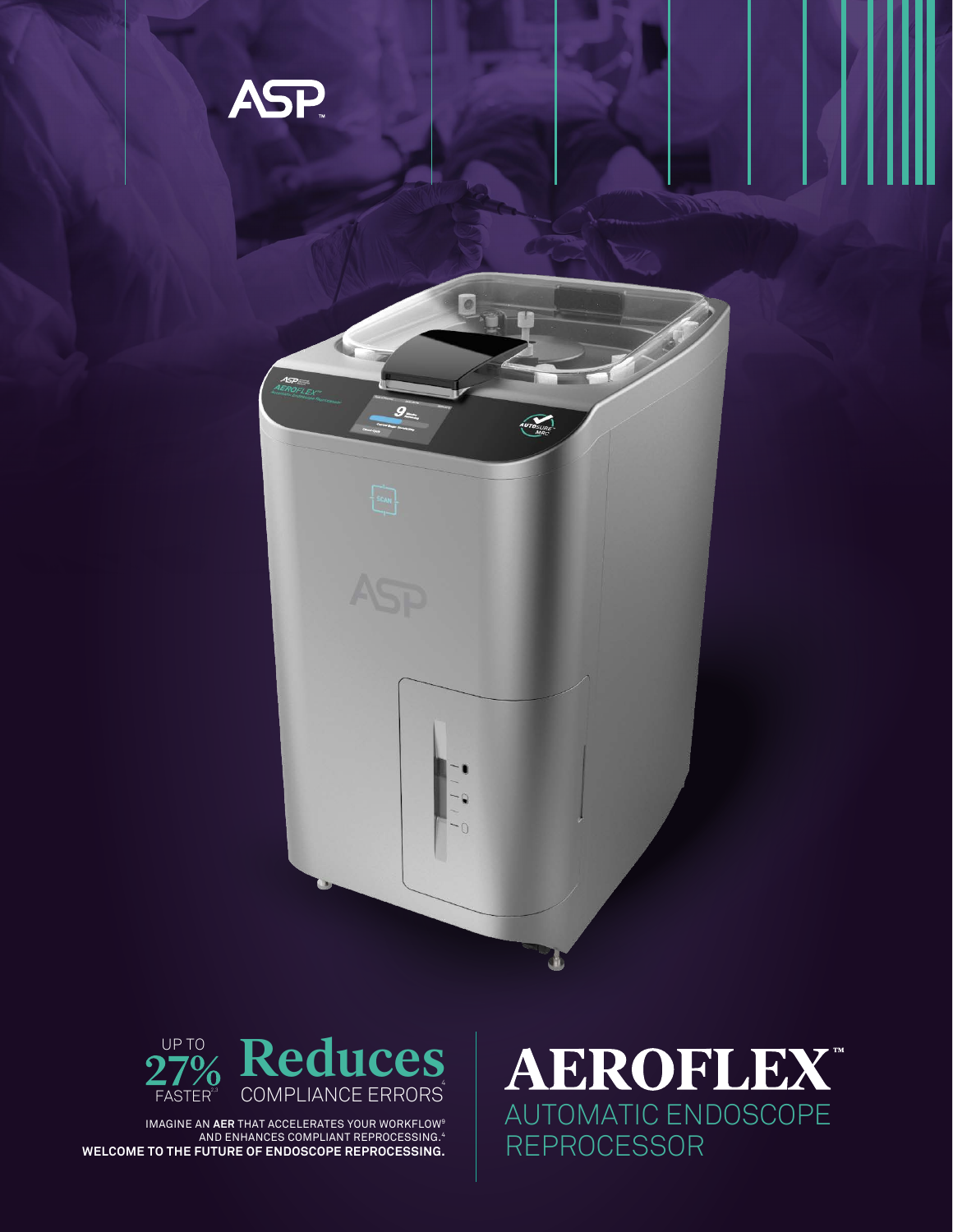



IMAGINE AN **AER** THAT ACCELERATES YOUR WORKFLOW9 AND ENHANCES COMPLIANT REPROCESSING.4 **WELCOME TO THE FUTURE OF ENDOSCOPE REPROCESSING.**

**AEROFLEX** AUTOMATIC ENDOSCOPE REPROCESSOR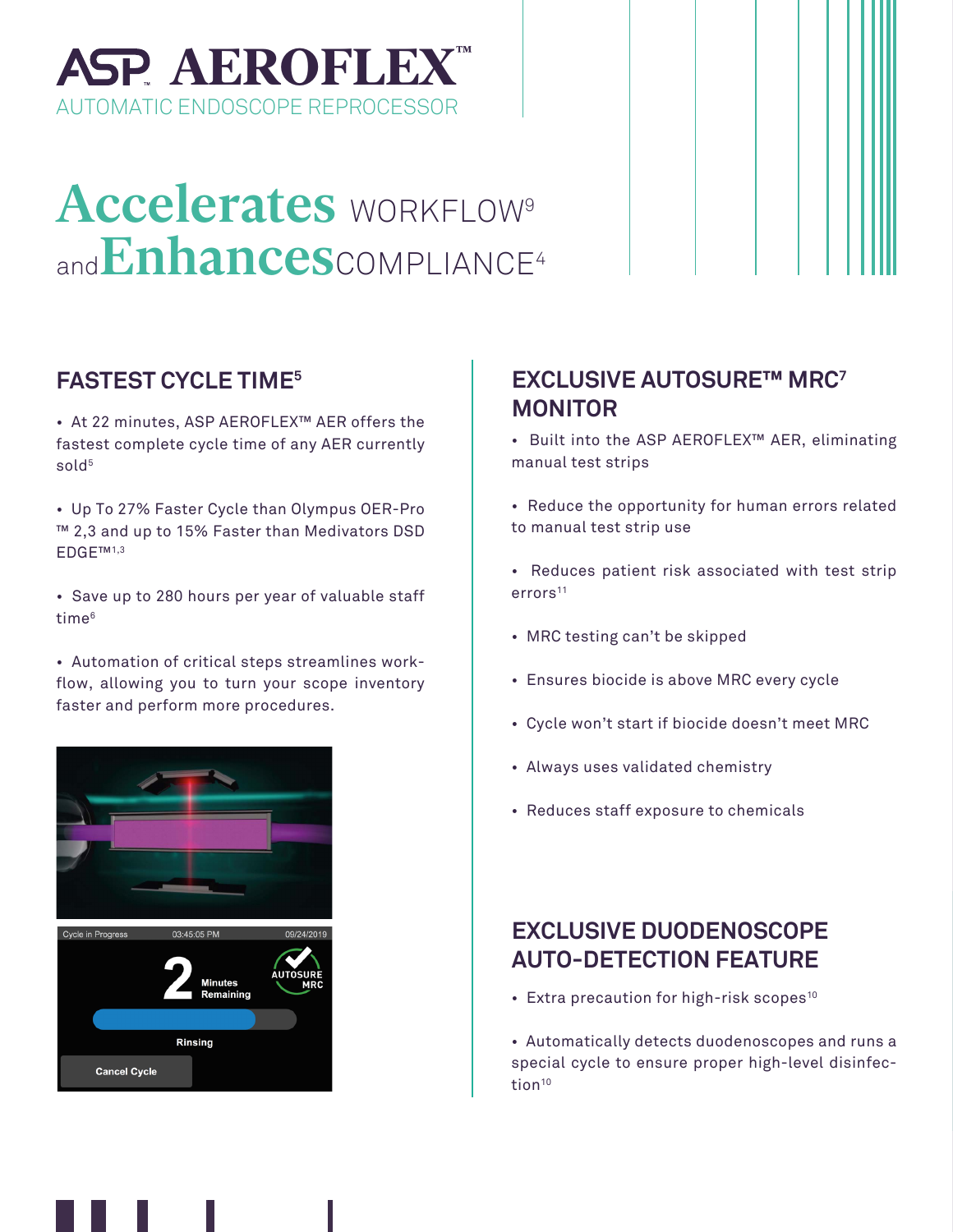

# Accelerates WORKFLOW<sup>9</sup> and Enhances COMPLIANCE<sup>4</sup>

• At 22 minutes, ASP AEROFLEX™ AER offers the fastest complete cycle time of any AER currently sold<sup>5</sup>

• Up To 27% Faster Cycle than Olympus OER-Pro ™ 2,3 and up to 15% Faster than Medivators DSD EDGE™1,3

• Save up to 280 hours per year of valuable staff time<sup>6</sup>

• Automation of critical steps streamlines workflow, allowing you to turn your scope inventory faster and perform more procedures.



### **FASTEST CYCLE TIME5 EXCLUSIVE AUTOSURE™ MRC7 MONITOR**

• Built into the ASP AEROFLEX™ AER, eliminating manual test strips

• Reduce the opportunity for human errors related to manual test strip use

- Reduces patient risk associated with test strip errors<sup>11</sup>
- MRC testing can't be skipped
- Ensures biocide is above MRC every cycle
- Cycle won't start if biocide doesn't meet MRC
- Always uses validated chemistry
- Reduces staff exposure to chemicals

### **EXCLUSIVE DUODENOSCOPE AUTO-DETECTION FEATURE**

• Extra precaution for high-risk scopes<sup>10</sup>

• Automatically detects duodenoscopes and runs a special cycle to ensure proper high-level disinfection<sup>10</sup>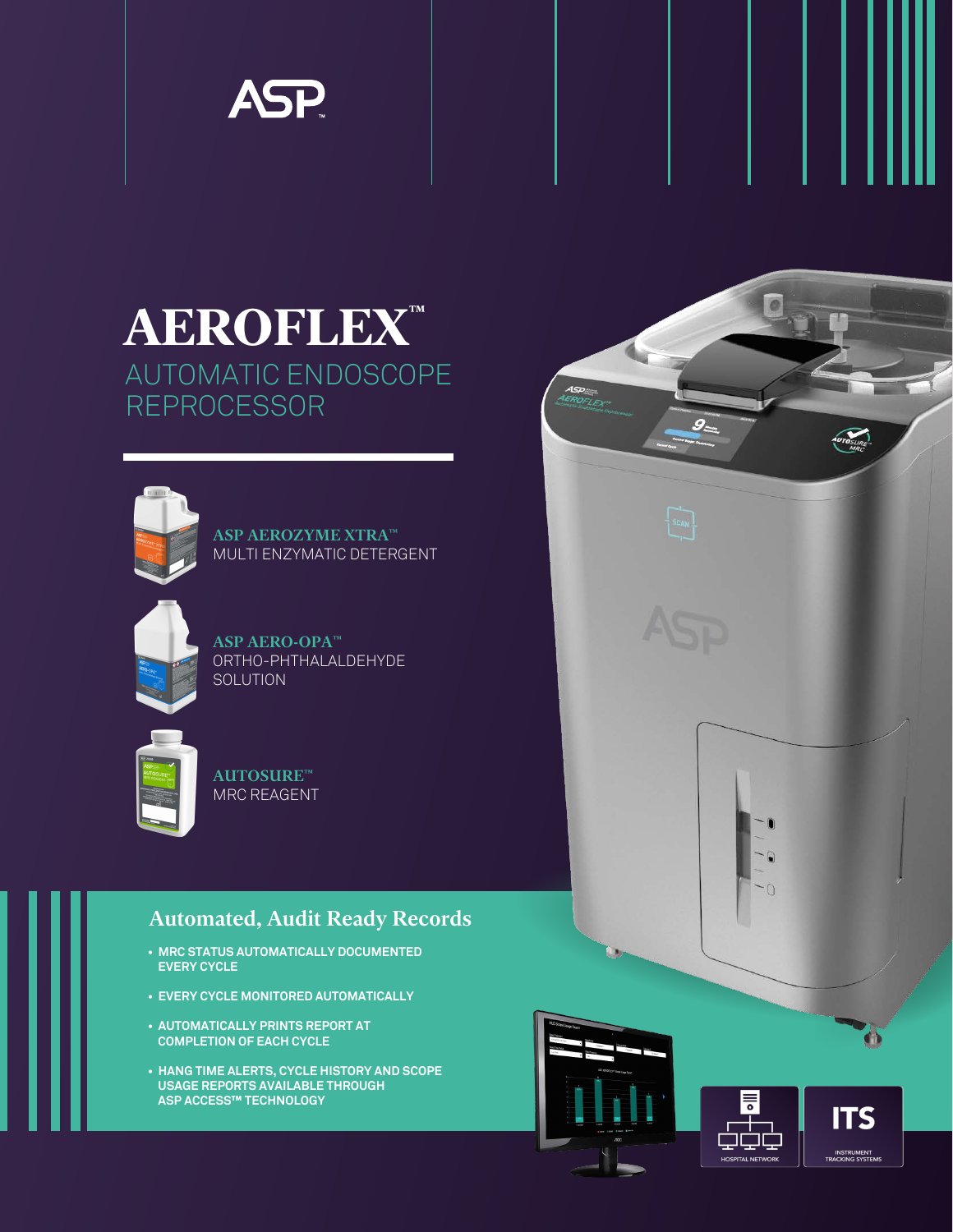

### **AEROFLEX™** AUTOMATIC ENDOSCOPE REPROCESSOR



ASP AEROZYME XTRA™ MULTI ENZYMATIC DETERGENT

| <b>KSP</b><br>٠<br>ŝ |  |
|----------------------|--|
|                      |  |

ASP AERO-OPA™ ORTHO-PHTHALALDEHYDE SOLUTION

| <b>E</b> ma<br>ASP<br>AUTOSURE-<br>MACATAGENT PP |
|--------------------------------------------------|
| ٠                                                |
|                                                  |

AUTOSURE™ MRC REAGENT

### Automated, Audit Ready Records

- **MRC STATUS AUTOMATICALLY DOCUMENTED EVERY CYCLE**
- **EVERY CYCLE MONITORED AUTOMATICALLY**
- **AUTOMATICALLY PRINTS REPORT AT COMPLETION OF EACH CYCLE**
- **HANG TIME ALERTS, CYCLE HISTORY AND SCOPE USAGE REPORTS AVAILABLE THROUGH ASP ACCESS™ TECHNOLOGY**





 $g_{\pm}$